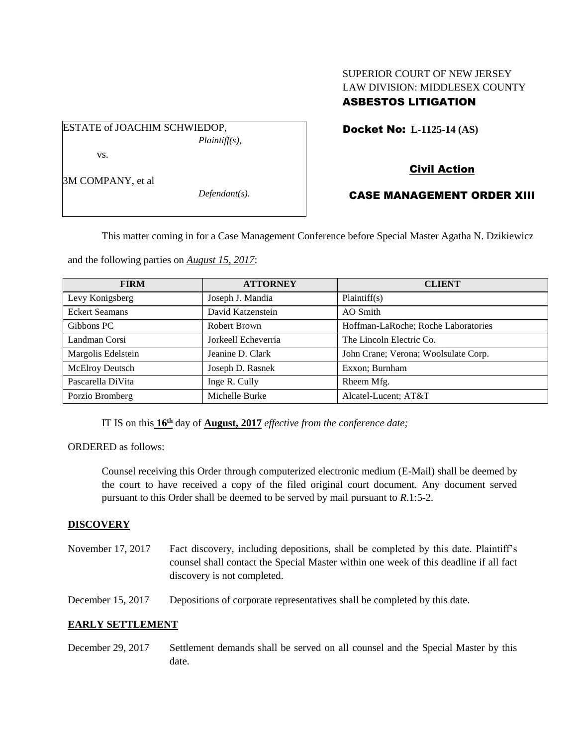## SUPERIOR COURT OF NEW JERSEY LAW DIVISION: MIDDLESEX COUNTY ASBESTOS LITIGATION

ESTATE of JOACHIM SCHWIEDOP, *Plaintiff(s),* vs.

Civil Action

Docket No: **L-1125-14 (AS)** 

3M COMPANY, et al

*Defendant(s).*

# CASE MANAGEMENT ORDER XIII

This matter coming in for a Case Management Conference before Special Master Agatha N. Dzikiewicz

and the following parties on *August 15, 2017*:

| <b>FIRM</b>           | <b>ATTORNEY</b>     | <b>CLIENT</b>                        |
|-----------------------|---------------------|--------------------------------------|
| Levy Konigsberg       | Joseph J. Mandia    | Plaintiff(s)                         |
| <b>Eckert Seamans</b> | David Katzenstein   | AO Smith                             |
| Gibbons PC            | Robert Brown        | Hoffman-LaRoche; Roche Laboratories  |
| Landman Corsi         | Jorkeell Echeverria | The Lincoln Electric Co.             |
| Margolis Edelstein    | Jeanine D. Clark    | John Crane; Verona; Woolsulate Corp. |
| McElroy Deutsch       | Joseph D. Rasnek    | Exxon; Burnham                       |
| Pascarella DiVita     | Inge R. Cully       | Rheem Mfg.                           |
| Porzio Bromberg       | Michelle Burke      | Alcatel-Lucent; AT&T                 |

IT IS on this  $16^{\text{th}}$  day of **August, 2017** *effective from the conference date*;

ORDERED as follows:

Counsel receiving this Order through computerized electronic medium (E-Mail) shall be deemed by the court to have received a copy of the filed original court document. Any document served pursuant to this Order shall be deemed to be served by mail pursuant to *R*.1:5-2.

## **DISCOVERY**

November 17, 2017 Fact discovery, including depositions, shall be completed by this date. Plaintiff's counsel shall contact the Special Master within one week of this deadline if all fact discovery is not completed.

December 15, 2017 Depositions of corporate representatives shall be completed by this date.

## **EARLY SETTLEMENT**

December 29, 2017 Settlement demands shall be served on all counsel and the Special Master by this date.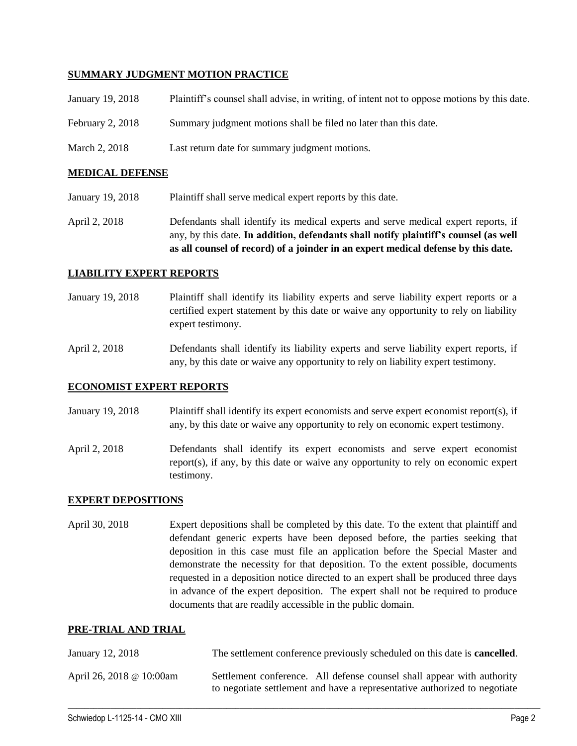#### **SUMMARY JUDGMENT MOTION PRACTICE**

| January 19, 2018   | Plaintiff's counsel shall advise, in writing, of intent not to oppose motions by this date. |
|--------------------|---------------------------------------------------------------------------------------------|
| February 2, $2018$ | Summary judgment motions shall be filed no later than this date.                            |
| March 2, 2018      | Last return date for summary judgment motions.                                              |

#### **MEDICAL DEFENSE**

- January 19, 2018 Plaintiff shall serve medical expert reports by this date.
- April 2, 2018 Defendants shall identify its medical experts and serve medical expert reports, if any, by this date. **In addition, defendants shall notify plaintiff's counsel (as well as all counsel of record) of a joinder in an expert medical defense by this date.**

#### **LIABILITY EXPERT REPORTS**

- January 19, 2018 Plaintiff shall identify its liability experts and serve liability expert reports or a certified expert statement by this date or waive any opportunity to rely on liability expert testimony.
- April 2, 2018 Defendants shall identify its liability experts and serve liability expert reports, if any, by this date or waive any opportunity to rely on liability expert testimony.

#### **ECONOMIST EXPERT REPORTS**

- January 19, 2018 Plaintiff shall identify its expert economists and serve expert economist report(s), if any, by this date or waive any opportunity to rely on economic expert testimony.
- April 2, 2018 Defendants shall identify its expert economists and serve expert economist report(s), if any, by this date or waive any opportunity to rely on economic expert testimony.

#### **EXPERT DEPOSITIONS**

April 30, 2018 Expert depositions shall be completed by this date. To the extent that plaintiff and defendant generic experts have been deposed before, the parties seeking that deposition in this case must file an application before the Special Master and demonstrate the necessity for that deposition. To the extent possible, documents requested in a deposition notice directed to an expert shall be produced three days in advance of the expert deposition. The expert shall not be required to produce documents that are readily accessible in the public domain.

#### **PRE-TRIAL AND TRIAL**

| January 12, 2018         | The settlement conference previously scheduled on this date is <b>cancelled</b> .                                                                   |  |
|--------------------------|-----------------------------------------------------------------------------------------------------------------------------------------------------|--|
| April 26, 2018 @ 10:00am | Settlement conference. All defense counsel shall appear with authority<br>to negotiate settlement and have a representative authorized to negotiate |  |